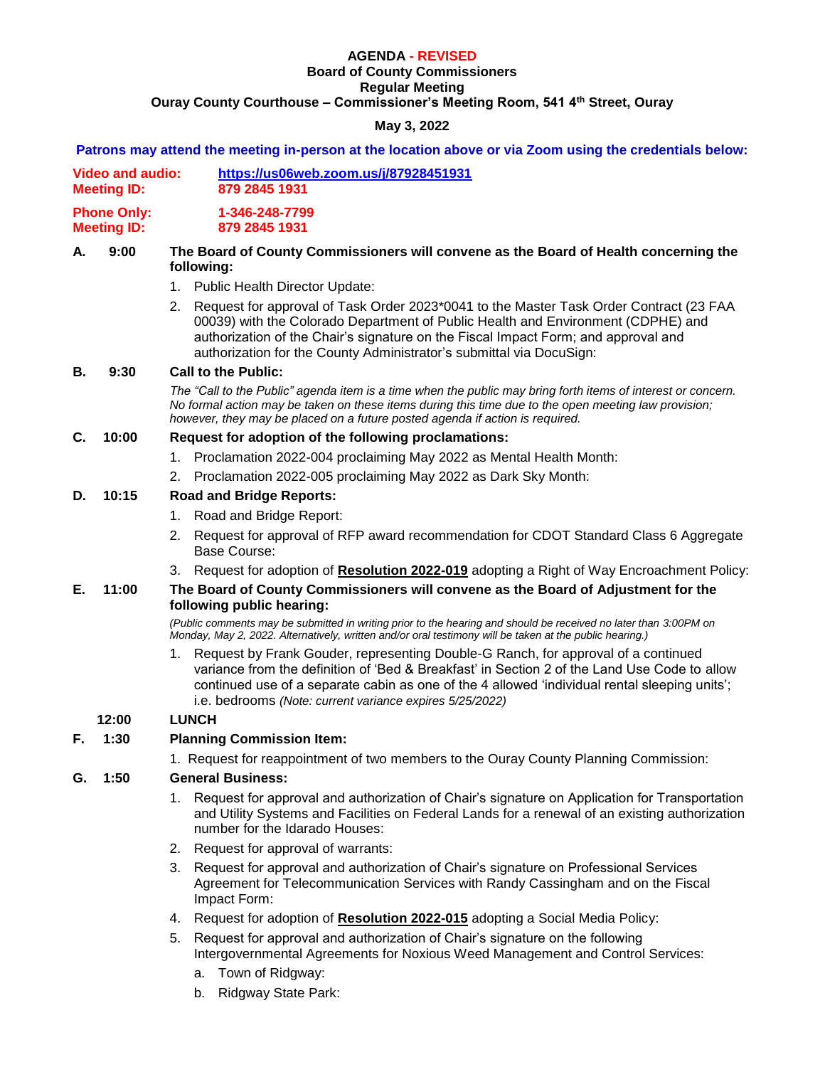# **AGENDA - REVISED**

### **Board of County Commissioners**

**Regular Meeting Ouray County Courthouse – Commissioner's Meeting Room, 541 4th Street, Ouray**

## **May 3, 2022**

**Patrons may attend the meeting in-person at the location above or via Zoom using the credentials below:**

|    |                                               | Patrons may attend the meeting in-person at the location above or via Zoom using the credentials below:                                                                                                                                                                                                                                        |  |  |
|----|-----------------------------------------------|------------------------------------------------------------------------------------------------------------------------------------------------------------------------------------------------------------------------------------------------------------------------------------------------------------------------------------------------|--|--|
|    | <b>Video and audio:</b><br><b>Meeting ID:</b> | https://us06web.zoom.us/j/87928451931<br>879 2845 1931<br>1-346-248-7799<br>879 2845 1931                                                                                                                                                                                                                                                      |  |  |
|    | <b>Phone Only:</b><br><b>Meeting ID:</b>      |                                                                                                                                                                                                                                                                                                                                                |  |  |
| А. | 9:00                                          | The Board of County Commissioners will convene as the Board of Health concerning the<br>following:                                                                                                                                                                                                                                             |  |  |
|    |                                               | 1. Public Health Director Update:                                                                                                                                                                                                                                                                                                              |  |  |
|    |                                               | 2. Request for approval of Task Order 2023*0041 to the Master Task Order Contract (23 FAA<br>00039) with the Colorado Department of Public Health and Environment (CDPHE) and<br>authorization of the Chair's signature on the Fiscal Impact Form; and approval and<br>authorization for the County Administrator's submittal via DocuSign:    |  |  |
| В. | 9:30                                          | <b>Call to the Public:</b>                                                                                                                                                                                                                                                                                                                     |  |  |
|    |                                               | The "Call to the Public" agenda item is a time when the public may bring forth items of interest or concern.<br>No formal action may be taken on these items during this time due to the open meeting law provision;<br>however, they may be placed on a future posted agenda if action is required.                                           |  |  |
| C. | 10:00                                         | Request for adoption of the following proclamations:                                                                                                                                                                                                                                                                                           |  |  |
|    |                                               | 1. Proclamation 2022-004 proclaiming May 2022 as Mental Health Month:                                                                                                                                                                                                                                                                          |  |  |
|    |                                               | Proclamation 2022-005 proclaiming May 2022 as Dark Sky Month:<br>2.                                                                                                                                                                                                                                                                            |  |  |
| D. | 10:15                                         | <b>Road and Bridge Reports:</b>                                                                                                                                                                                                                                                                                                                |  |  |
|    |                                               | Road and Bridge Report:<br>1.                                                                                                                                                                                                                                                                                                                  |  |  |
|    |                                               | Request for approval of RFP award recommendation for CDOT Standard Class 6 Aggregate<br>2.<br><b>Base Course:</b>                                                                                                                                                                                                                              |  |  |
|    |                                               | Request for adoption of Resolution 2022-019 adopting a Right of Way Encroachment Policy:<br>З.                                                                                                                                                                                                                                                 |  |  |
| Е. | 11:00                                         | The Board of County Commissioners will convene as the Board of Adjustment for the<br>following public hearing:                                                                                                                                                                                                                                 |  |  |
|    |                                               | (Public comments may be submitted in writing prior to the hearing and should be received no later than 3:00PM on<br>Monday, May 2, 2022. Alternatively, written and/or oral testimony will be taken at the public hearing.)                                                                                                                    |  |  |
|    |                                               | Request by Frank Gouder, representing Double-G Ranch, for approval of a continued<br>variance from the definition of 'Bed & Breakfast' in Section 2 of the Land Use Code to allow<br>continued use of a separate cabin as one of the 4 allowed 'individual rental sleeping units';<br>i.e. bedrooms (Note: current variance expires 5/25/2022) |  |  |
|    | 12:00                                         | <b>LUNCH</b>                                                                                                                                                                                                                                                                                                                                   |  |  |
| F. | 1:30                                          | <b>Planning Commission Item:</b>                                                                                                                                                                                                                                                                                                               |  |  |
|    |                                               | 1. Request for reappointment of two members to the Ouray County Planning Commission:                                                                                                                                                                                                                                                           |  |  |
| G. | 1:50                                          | <b>General Business:</b>                                                                                                                                                                                                                                                                                                                       |  |  |
|    |                                               | 1. Request for approval and authorization of Chair's signature on Application for Transportation<br>and Utility Systems and Facilities on Federal Lands for a renewal of an existing authorization<br>number for the Idarado Houses:                                                                                                           |  |  |
|    |                                               | 2. Request for approval of warrants:                                                                                                                                                                                                                                                                                                           |  |  |
|    |                                               | 3. Request for approval and authorization of Chair's signature on Professional Services<br>Agreement for Telecommunication Services with Randy Cassingham and on the Fiscal<br>Impact Form:                                                                                                                                                    |  |  |
|    |                                               | 4. Request for adoption of Resolution 2022-015 adopting a Social Media Policy:                                                                                                                                                                                                                                                                 |  |  |
|    |                                               | 5. Request for approval and authorization of Chair's signature on the following<br>Intergovernmental Agreements for Noxious Weed Management and Control Services:                                                                                                                                                                              |  |  |
|    |                                               | $T_{\text{a}}$ $\mathbf{a}$ $\mathbf{b}$ $\mathbf{c}$ $\mathbf{d}$ $\mathbf{b}$ $\mathbf{d}$ $\mathbf{a}$ $\mathbf{d}$ $\mathbf{e}$ $\mathbf{d}$                                                                                                                                                                                               |  |  |

- a. Town of Ridgway:
- b. Ridgway State Park: